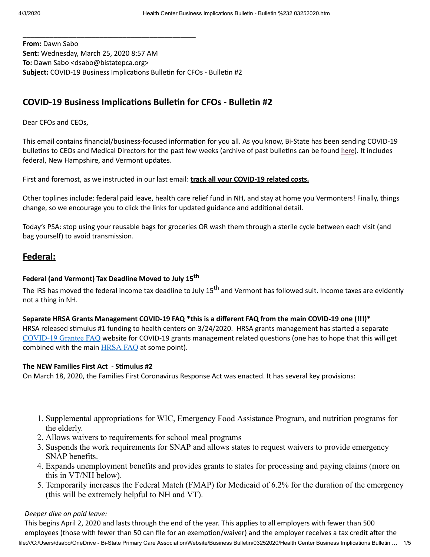**From:** Dawn Sabo **Sent:** Wednesday, March 25, 2020 8:57 AM **To:** Dawn Sabo <dsabo@bistatepca.org> Subject: COVID-19 Business Implications Bulletin for CFOs - Bulletin #2

\_\_\_\_\_\_\_\_\_\_\_\_\_\_\_\_\_\_\_\_\_\_\_\_\_\_\_\_\_\_\_\_\_\_\_\_\_\_\_\_\_\_\_\_\_

# **COVID-19 Business Implications Bulletin for CFOs - Bulletin #2**

Dear CFOs and CEOs,

This email contains financial/business-focused information for you all. As you know, Bi-State has been sending COVID-19 bulletins to CEOs and Medical Directors for the past few weeks (archive of past bulletins can be found [here](https://bistatepca.org/health-center-resources/covid-bulletins-resources/bi-state-covid-19-bulletins)). It includes federal, New Hampshire, and Vermont updates.

First and foremost, as we instructed in our last email: **track all your COVID-19 related costs.**

Other toplines include: federal paid leave, health care relief fund in NH, and stay at home you Vermonters! Finally, things change, so we encourage you to click the links for updated guidance and additional detail.

Today's PSA: stop using your reusable bags for groceries OR wash them through a sterile cycle between each visit (and bag yourself) to avoid transmission.

# **Federal:**

## **Federal (and Vermont) Tax Deadline Moved to July 15th**

The IRS has moved the federal income tax deadline to July 15<sup>th</sup> and Vermont has followed suit. Income taxes are evidently not a thing in NH.

**Separate HRSA Grants Management COVID-19 FAQ \*this is a different FAQ from the main COVID-19 one (!!!)\***

HRSA released stimulus #1 funding to health centers on 3/24/2020. HRSA grants management has started a separate [COVID-19 Grantee FAQ](https://www.hrsa.gov/grants/manage-your-grant/COVID-19-frequently-asked-questions) website for COVID-19 grants management related questions (one has to hope that this will get combined with the main **[HRSA FAQ](https://bphc.hrsa.gov/emergency-response/coronavirus-frequently-asked-questions.html)** at some point).

## **The NEW Families First Act - Stimulus #2**

On March 18, 2020, the Families First Coronavirus Response Act was enacted. It has several key provisions:

- 1. Supplemental appropriations for WIC, Emergency Food Assistance Program, and nutrition programs for the elderly.
- 2. Allows waivers to requirements for school meal programs
- 3. Suspends the work requirements for SNAP and allows states to request waivers to provide emergency SNAP benefits.
- 4. Expands unemployment benefits and provides grants to states for processing and paying claims (more on this in VT/NH below).
- 5. Temporarily increases the Federal Match (FMAP) for Medicaid of 6.2% for the duration of the emergency (this will be extremely helpful to NH and VT).

## *Deeper dive on paid leave:*

file:///C:/Users/dsabo/OneDrive - Bi-State Primary Care Association/Website/Business Bulletin/03252020/Health Center Business Implications Bulletin … 1/5 This begins April 2, 2020 and lasts through the end of the year. This applies to all employers with fewer than 500 employees (those with fewer than 50 can file for an exemption/waiver) and the employer receives a tax credit after the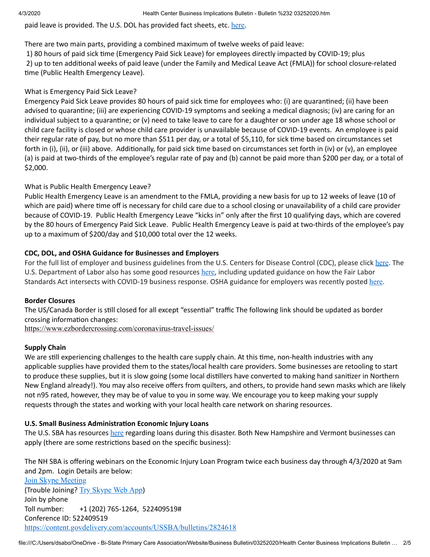paid leave is provided. The U.S. DOL has provided fact sheets, etc. [here](https://www.dol.gov/newsroom/releases/whd/whd20200324).

There are two main parts, providing a combined maximum of twelve weeks of paid leave:

1) 80 hours of paid sick me (Emergency Paid Sick Leave) for employees directly impacted by COVID-19; plus

2) up to ten additional weeks of paid leave (under the Family and Medical Leave Act (FMLA)) for school closure-related time (Public Health Emergency Leave).

## What is Emergency Paid Sick Leave?

Emergency Paid Sick Leave provides 80 hours of paid sick time for employees who: (i) are quarantined; (ii) have been advised to quarantine; (iii) are experiencing COVID-19 symptoms and seeking a medical diagnosis; (iv) are caring for an individual subject to a quarantine; or (v) need to take leave to care for a daughter or son under age 18 whose school or child care facility is closed or whose child care provider is unavailable because of COVID-19 events. An employee is paid their regular rate of pay, but no more than \$511 per day, or a total of \$5,110, for sick time based on circumstances set forth in (i), (ii), or (iii) above. Additionally, for paid sick time based on circumstances set forth in (iv) or (v), an employee (a) is paid at two-thirds of the employee's regular rate of pay and (b) cannot be paid more than \$200 per day, or a total of \$2,000.

## What is Public Health Emergency Leave?

Public Health Emergency Leave is an amendment to the FMLA, providing a new basis for up to 12 weeks of leave (10 of which are paid) where time off is necessary for child care due to a school closing or unavailability of a child care provider because of COVID-19. Public Health Emergency Leave "kicks in" only after the first 10 qualifying days, which are covered by the 80 hours of Emergency Paid Sick Leave. Public Health Emergency Leave is paid at two-thirds of the employee's pay up to a maximum of \$200/day and \$10,000 total over the 12 weeks.

## **CDC, DOL, and OSHA Guidance for Businesses and Employers**

For the full list of employer and business guidelines from the U.S. Centers for Disease Control (CDC), please click [here](https://www.cdc.gov/coronavirus/2019-ncov/specific-groups/guidance-business-response.html). The U.S. Department of Labor also has some good resources [here](https://www.dol.gov/coronavirus), including updated guidance on how the Fair Labor Standards Act intersects with COVID-19 business response. OSHA guidance for employers was recently posted [here](https://www.osha.gov/Publications/OSHA3990.pdf).

## **Border Closures**

The US/Canada Border is still closed for all except "essential" traffic The following link should be updated as border crossing information changes:

<https://www.ezbordercrossing.com/coronavirus-travel-issues/>

## **Supply Chain**

We are still experiencing challenges to the health care supply chain. At this time, non-health industries with any applicable supplies have provided them to the states/local health care providers. Some businesses are retooling to start to produce these supplies, but it is slow going (some local distillers have converted to making hand sanitizer in Northern New England already!). You may also receive offers from quilters, and others, to provide hand sewn masks which are likely not n95 rated, however, they may be of value to you in some way. We encourage you to keep making your supply requests through the states and working with your local health care network on sharing resources.

## **U.S. Small Business Administration Economic Injury Loans**

The U.S. SBA has resources [here](https://www.sba.gov/disaster-assistance/coronavirus-covid-19) regarding loans during this disaster. Both New Hampshire and Vermont businesses can apply (there are some restrictions based on the specific business):

The NH SBA is offering webinars on the Economic Injury Loan Program twice each business day through 4/3/2020 at 9am and 2pm. Login Details are below:

Join Skype [Meeting](https://gcc01.safelinks.protection.outlook.com/?url=https%3A%2F%2Fmeet.lync.com%2Fsba123%2Frmroderi%2F0BMNLHDM&data=02%7C01%7Crachael.roderick%40sba.gov%7Cab0b7ed1ee2f44760a8008d7cce0e629%7C3c89fd8a7f684667aa1541ebf2208961%7C1%7C0%7C637203138610985731&sdata=lCToqu7hyx6k2kEv%2F8FkSMaoW8%2BaBMZ2iIpGC%2Bd2tLw%3D&reserved=0) (Trouble Joining? Try [Skype](https://gcc01.safelinks.protection.outlook.com/?url=https%3A%2F%2Fmeet.lync.com%2Fsba123%2Frmroderi%2F0BMNLHDM%3Fsl%3D1&data=02%7C01%7Crachael.roderick%40sba.gov%7Cab0b7ed1ee2f44760a8008d7cce0e629%7C3c89fd8a7f684667aa1541ebf2208961%7C1%7C0%7C637203138610985731&sdata=9XE7HnY0n1xjR0%2FkwHJC8jFgf0D%2BUt%2FcE0wXSC5TxWI%3D&reserved=0) Web App) Join by phone Toll number: +1 (202) 765-1264, 522409519# Conference ID: 522409519 <https://content.govdelivery.com/accounts/USSBA/bulletins/2824618>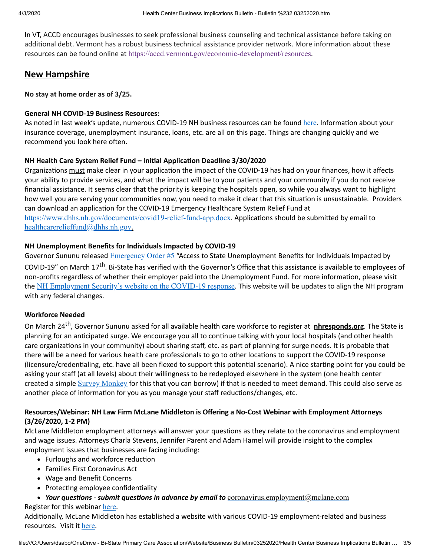In VT, ACCD encourages businesses to seek professional business counseling and technical assistance before taking on additional debt. Vermont has a robust business technical assistance provider network. More information about these resources can be found online at [https://accd.vermont.gov/economic-development/resources](https://vermont.us3.list-manage.com/track/click?u=ff50346b45ae607c4e55c01ec&id=ae1ad4e1b3&e=9c4c54c3a4).

# **New Hampshire**

**No stay at home order as of 3/25.**

## **General NH COVID-19 Business Resources:**

As noted in last week's update, numerous COVID-19 NH business resources can be found [here](https://www.nheconomy.com/covid19). Information about your insurance coverage, unemployment insurance, loans, etc. are all on this page. Things are changing quickly and we recommend you look here often.

## **NH** Health Care System Relief Fund – Initial Application Deadline 3/30/2020

Organizations must make clear in your application the impact of the COVID-19 has had on your finances, how it affects your ability to provide services, and what the impact will be to your patients and your community if you do not receive financial assistance. It seems clear that the priority is keeping the hospitals open, so while you always want to highlight how well you are serving your communities now, you need to make it clear that this situation is unsustainable. Providers can download an application for the COVID-19 Emergency Healthcare System Relief Fund at <https://www.dhhs.nh.gov/documents/covid19-relief-fund-app.docx>. Applications should be submitted by email to [healthcarerelieffund@dhhs.nh.gov](mailto:healthcarerelieffund@dhhs.nh.gov).

## **NH Unemployment Benefits for Individuals Impacted by COVID-19**

Governor Sununu released **[Emergency](https://www.governor.nh.gov/news-media/press-2020/documents/emergency-order-5.pdf) Order #5** "Access to State Unemployment Benefits for Individuals Impacted by COVID-19" on March 17<sup>th</sup>. Bi-State has verified with the Governor's Office that this assistance is available to employees of non-profits regardless of whether their employer paid into the Unemployment Fund. For more information, please visit the NH [Employment](https://www.nhes.nh.gov/) Security's website on the COVID-19 response. This website will be updates to align the NH program with any federal changes.

## **Workforce Needed**

On March 24<sup>th</sup>, Governor Sununu asked for all available health care workforce to register at **nhresponds.org**. The State is planning for an anticipated surge. We encourage you all to continue talking with your local hospitals (and other health care organizations in your community) about sharing staff, etc. as part of planning for surge needs. It is probable that there will be a need for various health care professionals to go to other locations to support the COVID-19 response (licensure/credentialing, etc. have all been flexed to support this potential scenario). A nice starting point for you could be asking your staff (at all levels) about their willingness to be redeployed elsewhere in the system (one health center created a simple Survey [Monkey](https://www.surveymonkey.com/r/YV5SZDB) for this that you can borrow) if that is needed to meet demand. This could also serve as another piece of information for you as you manage your staff reductions/changes, etc.

## **Resources/Webinar: NH Law Firm McLane Middleton is Offering a No-Cost Webinar with Employment Aorneys (3/26/2020, 1-2 PM)**

McLane Middleton employment attorneys will answer your questions as they relate to the coronavirus and employment and wage issues. Attorneys Charla Stevens, Jennifer Parent and Adam Hamel will provide insight to the complex employment issues that businesses are facing including:

- Furloughs and workforce reduction
- · Families First Coronavirus Act
- · Wage and Benefit Concerns
- Protecting employee confidentiality
- *Your questions submit questions in advance by email to* [coronavirus.employment@mclane.com](mailto:coronavirus.employment@mclane.com)

## Register for this webinar [here](https://zoom.us/webinar/register/WN_ImAx0uqEStmg3HplVSUaFQ).

Additionally, McLane Middleton has established a website with various COVID-19 employment-related and business resources. Visit it [here](https://www.mclane.com/Coronavirus-Resource-Center).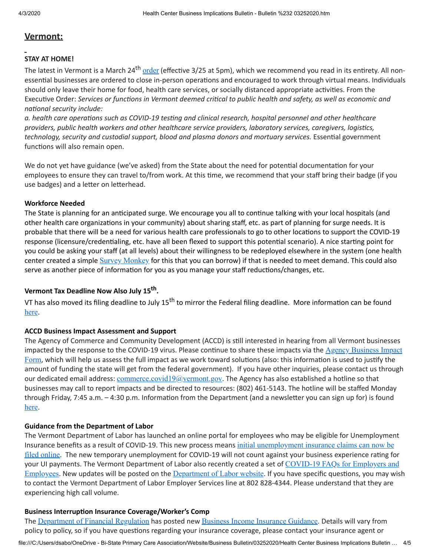## **Vermont:**

#### **STAY AT HOME!**

The latest in Vermont is a March 24<sup>th</sup> <u>[order](https://governor.vermont.gov/sites/scott/files/documents/ADDENDUM%206%20TO%20EXECUTIVE%20ORDER%2001-20.pdf)</u> (effective 3/25 at 5pm), which we recommend you read in its entirety. All nonessential businesses are ordered to close in-person operations and encouraged to work through virtual means. Individuals should only leave their home for food, health care services, or socially distanced appropriate activities. From the Executive Order: Services or functions in Vermont deemed critical to public health and safety, as well as economic and  $national$  *security include:* 

*a. health care operaons such as COVID-19 tesng and clinical research, hospital personnel and other healthcare providers, public health workers and other healthcare service providers, laboratory services, caregivers, logiscs, technology, security and custodial support, blood and plasma donors and mortuary services. Essential government* functions will also remain open.

We do not yet have guidance (we've asked) from the State about the need for potential documentation for your employees to ensure they can travel to/from work. At this time, we recommend that your staff bring their badge (if you use badges) and a letter on letterhead.

#### **Workforce Needed**

The State is planning for an anticipated surge. We encourage you all to continue talking with your local hospitals (and other health care organizations in your community) about sharing staff, etc. as part of planning for surge needs. It is probable that there will be a need for various health care professionals to go to other locations to support the COVID-19 response (licensure/credentialing, etc. have all been flexed to support this potential scenario). A nice starting point for you could be asking your staff (at all levels) about their willingness to be redeployed elsewhere in the system (one health center created a simple **Survey [Monkey](https://www.surveymonkey.com/r/YV5SZDB)** for this that you can borrow) if that is needed to meet demand. This could also serve as another piece of information for you as you manage your staff reductions/changes, etc.

# **Vermont Tax Deadline Now Also July 15 th .**

VT has also moved its filing deadline to July 15<sup>th</sup> to mirror the Federal filing deadline. More information can be found [here](https://tax.vermont.gov/coronavirus).

#### **ACCD Business Impact Assessment and Support**

The Agency of Commerce and Community Development (ACCD) is still interested in hearing from all Vermont businesses impacted by the response to the COVID-19 virus. Please continue to share these impacts via the  $\Delta$ gency Business Impact Form, which will help us assess the full impact as we work toward solutions (also: this information is used to justify the amount of funding the state will get from the federal government). If you have other inquiries, please contact us through our dedicated email address: [commerce.covid19@vermont.gov](mailto:commerce.covid19@vermont.gov). The Agency has also established a hotline so that businesses may call to report impacts and be directed to resources: (802) 461-5143. The hotline will be staffed Monday through Friday, 7:45 a.m.  $-4:30$  p.m. Information from the Department (and a newsletter you can sign up for) is found [here](https://accd.vermont.gov/).

#### **Guidance from the Department of Labor**

The Vermont Department of Labor has launched an online portal for employees who may be eligible for Unemployment Insurance benefits as a result of COVID-19. This new process means initial [unemployment](https://vermont.us3.list-manage.com/track/click?u=ff50346b45ae607c4e55c01ec&id=db17c6151a&e=9c4c54c3a4) insurance claims can now be  $\frac{\text{field online}}{\text{Inle}}$ . The new temporary unemployment for COVID-19 will not count against your business experience rating for your UI payments. The Vermont [Department](https://vermont.us3.list-manage.com/track/click?u=ff50346b45ae607c4e55c01ec&id=b444dfb562&e=9c4c54c3a4) of Labor also recently created a set of COVID-19 FAQs for Employers and Employees. New updates will be posted on the [Department](https://vermont.us3.list-manage.com/track/click?u=ff50346b45ae607c4e55c01ec&id=7dab0b31b2&e=9c4c54c3a4) of Labor website. If you have specific questions, you may wish to contact the Vermont Department of Labor Employer Services line at 802 828-4344. Please understand that they are experiencing high call volume.

#### **Business Interruption Insurance Coverage/Worker's Comp**

The [Department](https://vermont.us3.list-manage.com/track/click?u=ff50346b45ae607c4e55c01ec&id=c12d0c1a12&e=9c4c54c3a4) of Financial Regulation has posted new Business Income [Insurance](https://vermont.us3.list-manage.com/track/click?u=ff50346b45ae607c4e55c01ec&id=5dcd553020&e=9c4c54c3a4) Guidance. Details will vary from policy to policy, so if you have questions regarding your insurance coverage, please contact your insurance agent or